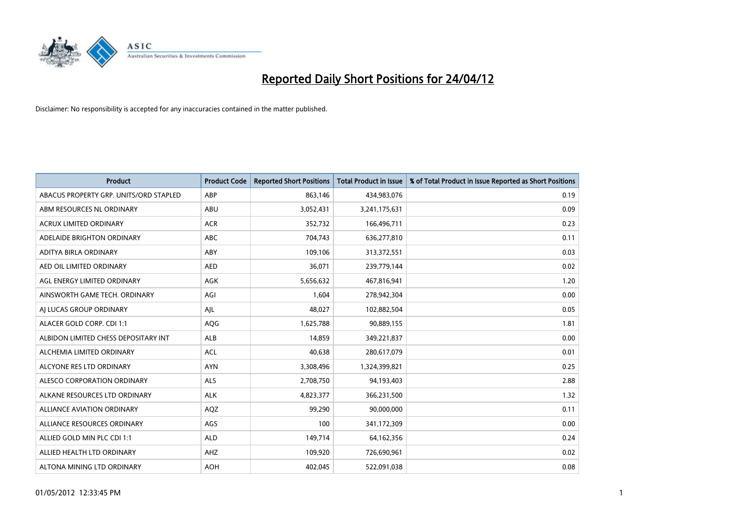

| <b>Product</b>                         | <b>Product Code</b> | <b>Reported Short Positions</b> | <b>Total Product in Issue</b> | % of Total Product in Issue Reported as Short Positions |
|----------------------------------------|---------------------|---------------------------------|-------------------------------|---------------------------------------------------------|
| ABACUS PROPERTY GRP. UNITS/ORD STAPLED | ABP                 | 863,146                         | 434,983,076                   | 0.19                                                    |
| ABM RESOURCES NL ORDINARY              | ABU                 | 3,052,431                       | 3,241,175,631                 | 0.09                                                    |
| <b>ACRUX LIMITED ORDINARY</b>          | <b>ACR</b>          | 352,732                         | 166,496,711                   | 0.23                                                    |
| ADELAIDE BRIGHTON ORDINARY             | <b>ABC</b>          | 704,743                         | 636,277,810                   | 0.11                                                    |
| ADITYA BIRLA ORDINARY                  | ABY                 | 109,106                         | 313,372,551                   | 0.03                                                    |
| AED OIL LIMITED ORDINARY               | <b>AED</b>          | 36,071                          | 239,779,144                   | 0.02                                                    |
| AGL ENERGY LIMITED ORDINARY            | AGK                 | 5,656,632                       | 467,816,941                   | 1.20                                                    |
| AINSWORTH GAME TECH. ORDINARY          | AGI                 | 1,604                           | 278,942,304                   | 0.00                                                    |
| AI LUCAS GROUP ORDINARY                | AJL                 | 48,027                          | 102,882,504                   | 0.05                                                    |
| ALACER GOLD CORP. CDI 1:1              | AQG                 | 1,625,788                       | 90,889,155                    | 1.81                                                    |
| ALBIDON LIMITED CHESS DEPOSITARY INT   | ALB                 | 14,859                          | 349,221,837                   | 0.00                                                    |
| ALCHEMIA LIMITED ORDINARY              | <b>ACL</b>          | 40,638                          | 280,617,079                   | 0.01                                                    |
| ALCYONE RES LTD ORDINARY               | <b>AYN</b>          | 3,308,496                       | 1,324,399,821                 | 0.25                                                    |
| ALESCO CORPORATION ORDINARY            | ALS                 | 2,708,750                       | 94,193,403                    | 2.88                                                    |
| ALKANE RESOURCES LTD ORDINARY          | <b>ALK</b>          | 4,823,377                       | 366,231,500                   | 1.32                                                    |
| ALLIANCE AVIATION ORDINARY             | AQZ                 | 99,290                          | 90,000,000                    | 0.11                                                    |
| ALLIANCE RESOURCES ORDINARY            | AGS                 | 100                             | 341,172,309                   | 0.00                                                    |
| ALLIED GOLD MIN PLC CDI 1:1            | <b>ALD</b>          | 149,714                         | 64,162,356                    | 0.24                                                    |
| ALLIED HEALTH LTD ORDINARY             | AHZ                 | 109,920                         | 726,690,961                   | 0.02                                                    |
| ALTONA MINING LTD ORDINARY             | <b>AOH</b>          | 402,045                         | 522,091,038                   | 0.08                                                    |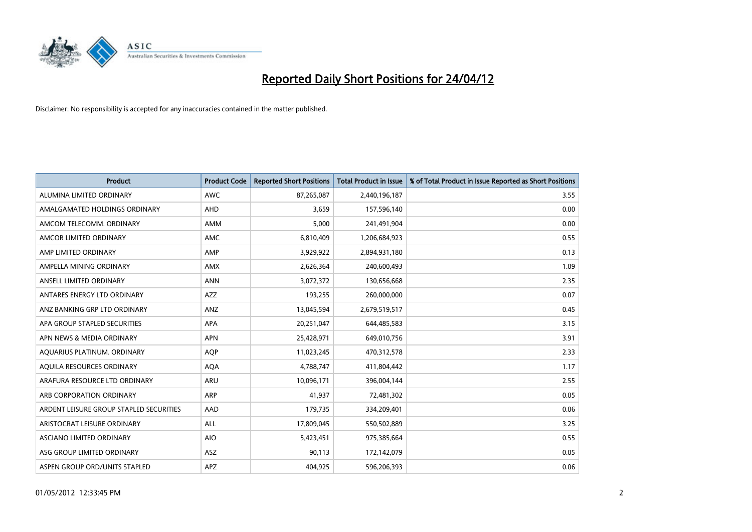

| <b>Product</b>                          | <b>Product Code</b> | <b>Reported Short Positions</b> | <b>Total Product in Issue</b> | % of Total Product in Issue Reported as Short Positions |
|-----------------------------------------|---------------------|---------------------------------|-------------------------------|---------------------------------------------------------|
| ALUMINA LIMITED ORDINARY                | <b>AWC</b>          | 87,265,087                      | 2,440,196,187                 | 3.55                                                    |
| AMALGAMATED HOLDINGS ORDINARY           | AHD                 | 3,659                           | 157,596,140                   | 0.00                                                    |
| AMCOM TELECOMM, ORDINARY                | AMM                 | 5,000                           | 241,491,904                   | 0.00                                                    |
| AMCOR LIMITED ORDINARY                  | AMC                 | 6,810,409                       | 1,206,684,923                 | 0.55                                                    |
| AMP LIMITED ORDINARY                    | AMP                 | 3,929,922                       | 2,894,931,180                 | 0.13                                                    |
| AMPELLA MINING ORDINARY                 | <b>AMX</b>          | 2,626,364                       | 240,600,493                   | 1.09                                                    |
| ANSELL LIMITED ORDINARY                 | <b>ANN</b>          | 3,072,372                       | 130,656,668                   | 2.35                                                    |
| ANTARES ENERGY LTD ORDINARY             | AZZ                 | 193,255                         | 260,000,000                   | 0.07                                                    |
| ANZ BANKING GRP LTD ORDINARY            | ANZ                 | 13,045,594                      | 2,679,519,517                 | 0.45                                                    |
| APA GROUP STAPLED SECURITIES            | <b>APA</b>          | 20,251,047                      | 644,485,583                   | 3.15                                                    |
| APN NEWS & MEDIA ORDINARY               | <b>APN</b>          | 25,428,971                      | 649,010,756                   | 3.91                                                    |
| AQUARIUS PLATINUM. ORDINARY             | AQP                 | 11,023,245                      | 470,312,578                   | 2.33                                                    |
| AQUILA RESOURCES ORDINARY               | <b>AQA</b>          | 4,788,747                       | 411,804,442                   | 1.17                                                    |
| ARAFURA RESOURCE LTD ORDINARY           | ARU                 | 10,096,171                      | 396,004,144                   | 2.55                                                    |
| ARB CORPORATION ORDINARY                | <b>ARP</b>          | 41,937                          | 72,481,302                    | 0.05                                                    |
| ARDENT LEISURE GROUP STAPLED SECURITIES | AAD                 | 179,735                         | 334,209,401                   | 0.06                                                    |
| ARISTOCRAT LEISURE ORDINARY             | ALL                 | 17,809,045                      | 550,502,889                   | 3.25                                                    |
| ASCIANO LIMITED ORDINARY                | <b>AIO</b>          | 5,423,451                       | 975,385,664                   | 0.55                                                    |
| ASG GROUP LIMITED ORDINARY              | ASZ                 | 90,113                          | 172,142,079                   | 0.05                                                    |
| ASPEN GROUP ORD/UNITS STAPLED           | APZ                 | 404,925                         | 596,206,393                   | 0.06                                                    |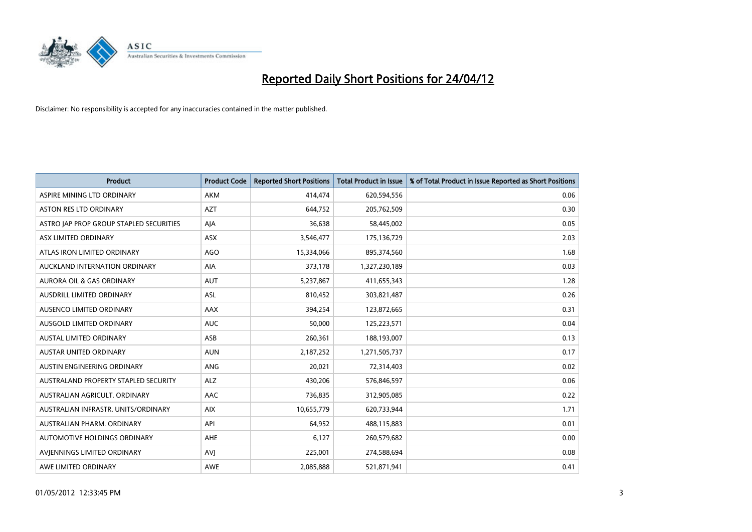

| <b>Product</b>                          | <b>Product Code</b> | <b>Reported Short Positions</b> | <b>Total Product in Issue</b> | % of Total Product in Issue Reported as Short Positions |
|-----------------------------------------|---------------------|---------------------------------|-------------------------------|---------------------------------------------------------|
| ASPIRE MINING LTD ORDINARY              | AKM                 | 414,474                         | 620,594,556                   | 0.06                                                    |
| ASTON RES LTD ORDINARY                  | <b>AZT</b>          | 644,752                         | 205,762,509                   | 0.30                                                    |
| ASTRO JAP PROP GROUP STAPLED SECURITIES | AJA                 | 36,638                          | 58,445,002                    | 0.05                                                    |
| ASX LIMITED ORDINARY                    | ASX                 | 3,546,477                       | 175,136,729                   | 2.03                                                    |
| ATLAS IRON LIMITED ORDINARY             | <b>AGO</b>          | 15,334,066                      | 895,374,560                   | 1.68                                                    |
| AUCKLAND INTERNATION ORDINARY           | AIA                 | 373,178                         | 1,327,230,189                 | 0.03                                                    |
| AURORA OIL & GAS ORDINARY               | <b>AUT</b>          | 5,237,867                       | 411,655,343                   | 1.28                                                    |
| AUSDRILL LIMITED ORDINARY               | ASL                 | 810,452                         | 303,821,487                   | 0.26                                                    |
| AUSENCO LIMITED ORDINARY                | AAX                 | 394,254                         | 123,872,665                   | 0.31                                                    |
| AUSGOLD LIMITED ORDINARY                | <b>AUC</b>          | 50,000                          | 125,223,571                   | 0.04                                                    |
| AUSTAL LIMITED ORDINARY                 | ASB                 | 260,361                         | 188,193,007                   | 0.13                                                    |
| <b>AUSTAR UNITED ORDINARY</b>           | <b>AUN</b>          | 2,187,252                       | 1,271,505,737                 | 0.17                                                    |
| AUSTIN ENGINEERING ORDINARY             | ANG                 | 20,021                          | 72,314,403                    | 0.02                                                    |
| AUSTRALAND PROPERTY STAPLED SECURITY    | <b>ALZ</b>          | 430,206                         | 576,846,597                   | 0.06                                                    |
| AUSTRALIAN AGRICULT. ORDINARY           | AAC                 | 736,835                         | 312,905,085                   | 0.22                                                    |
| AUSTRALIAN INFRASTR, UNITS/ORDINARY     | <b>AIX</b>          | 10,655,779                      | 620,733,944                   | 1.71                                                    |
| AUSTRALIAN PHARM, ORDINARY              | API                 | 64,952                          | 488,115,883                   | 0.01                                                    |
| AUTOMOTIVE HOLDINGS ORDINARY            | AHE                 | 6,127                           | 260,579,682                   | 0.00                                                    |
| AVIENNINGS LIMITED ORDINARY             | <b>AVI</b>          | 225,001                         | 274,588,694                   | 0.08                                                    |
| AWE LIMITED ORDINARY                    | <b>AWE</b>          | 2,085,888                       | 521,871,941                   | 0.41                                                    |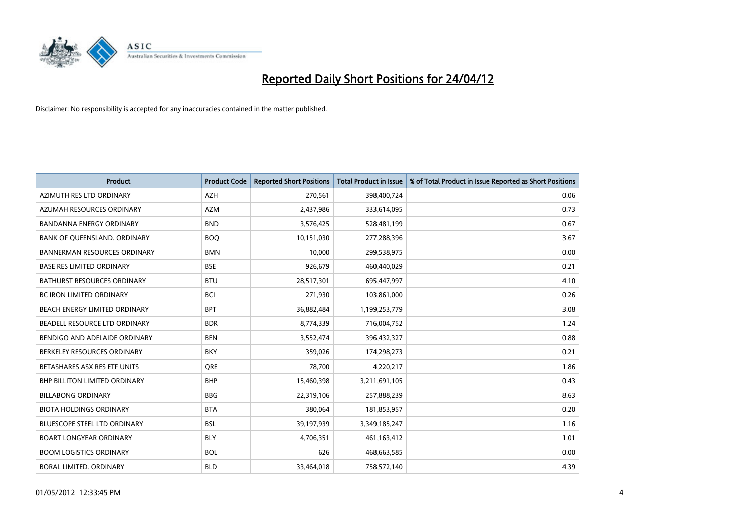

| <b>Product</b>                       | <b>Product Code</b> | <b>Reported Short Positions</b> | <b>Total Product in Issue</b> | % of Total Product in Issue Reported as Short Positions |
|--------------------------------------|---------------------|---------------------------------|-------------------------------|---------------------------------------------------------|
| AZIMUTH RES LTD ORDINARY             | <b>AZH</b>          | 270,561                         | 398,400,724                   | 0.06                                                    |
| AZUMAH RESOURCES ORDINARY            | AZM                 | 2,437,986                       | 333,614,095                   | 0.73                                                    |
| <b>BANDANNA ENERGY ORDINARY</b>      | <b>BND</b>          | 3,576,425                       | 528,481,199                   | 0.67                                                    |
| BANK OF QUEENSLAND. ORDINARY         | <b>BOQ</b>          | 10,151,030                      | 277,288,396                   | 3.67                                                    |
| <b>BANNERMAN RESOURCES ORDINARY</b>  | <b>BMN</b>          | 10,000                          | 299,538,975                   | 0.00                                                    |
| <b>BASE RES LIMITED ORDINARY</b>     | <b>BSE</b>          | 926,679                         | 460,440,029                   | 0.21                                                    |
| <b>BATHURST RESOURCES ORDINARY</b>   | <b>BTU</b>          | 28,517,301                      | 695,447,997                   | 4.10                                                    |
| <b>BC IRON LIMITED ORDINARY</b>      | <b>BCI</b>          | 271,930                         | 103,861,000                   | 0.26                                                    |
| BEACH ENERGY LIMITED ORDINARY        | <b>BPT</b>          | 36,882,484                      | 1,199,253,779                 | 3.08                                                    |
| BEADELL RESOURCE LTD ORDINARY        | <b>BDR</b>          | 8,774,339                       | 716,004,752                   | 1.24                                                    |
| BENDIGO AND ADELAIDE ORDINARY        | <b>BEN</b>          | 3,552,474                       | 396,432,327                   | 0.88                                                    |
| BERKELEY RESOURCES ORDINARY          | <b>BKY</b>          | 359,026                         | 174,298,273                   | 0.21                                                    |
| BETASHARES ASX RES ETF UNITS         | <b>ORE</b>          | 78,700                          | 4,220,217                     | 1.86                                                    |
| <b>BHP BILLITON LIMITED ORDINARY</b> | <b>BHP</b>          | 15,460,398                      | 3,211,691,105                 | 0.43                                                    |
| <b>BILLABONG ORDINARY</b>            | <b>BBG</b>          | 22,319,106                      | 257,888,239                   | 8.63                                                    |
| <b>BIOTA HOLDINGS ORDINARY</b>       | <b>BTA</b>          | 380,064                         | 181,853,957                   | 0.20                                                    |
| BLUESCOPE STEEL LTD ORDINARY         | <b>BSL</b>          | 39,197,939                      | 3,349,185,247                 | 1.16                                                    |
| <b>BOART LONGYEAR ORDINARY</b>       | <b>BLY</b>          | 4,706,351                       | 461,163,412                   | 1.01                                                    |
| <b>BOOM LOGISTICS ORDINARY</b>       | <b>BOL</b>          | 626                             | 468,663,585                   | 0.00                                                    |
| BORAL LIMITED. ORDINARY              | <b>BLD</b>          | 33,464,018                      | 758,572,140                   | 4.39                                                    |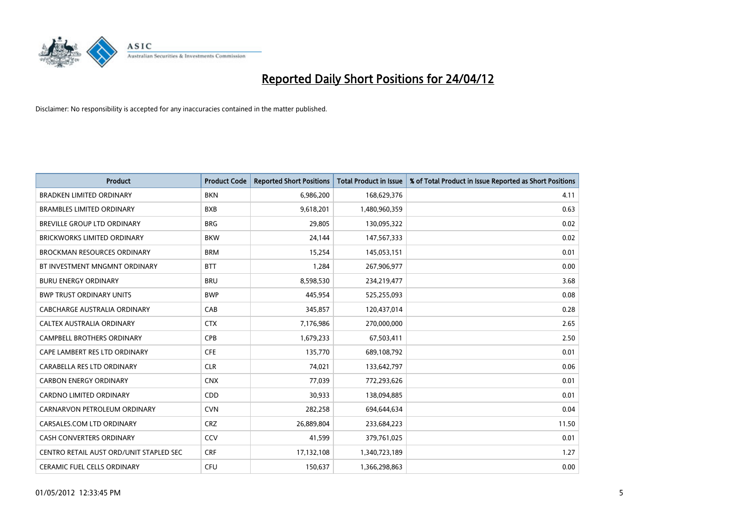

| Product                                 | <b>Product Code</b> | <b>Reported Short Positions</b> | <b>Total Product in Issue</b> | % of Total Product in Issue Reported as Short Positions |
|-----------------------------------------|---------------------|---------------------------------|-------------------------------|---------------------------------------------------------|
| BRADKEN LIMITED ORDINARY                | <b>BKN</b>          | 6,986,200                       | 168,629,376                   | 4.11                                                    |
| <b>BRAMBLES LIMITED ORDINARY</b>        | <b>BXB</b>          | 9,618,201                       | 1,480,960,359                 | 0.63                                                    |
| BREVILLE GROUP LTD ORDINARY             | <b>BRG</b>          | 29,805                          | 130,095,322                   | 0.02                                                    |
| <b>BRICKWORKS LIMITED ORDINARY</b>      | <b>BKW</b>          | 24,144                          | 147,567,333                   | 0.02                                                    |
| <b>BROCKMAN RESOURCES ORDINARY</b>      | <b>BRM</b>          | 15,254                          | 145,053,151                   | 0.01                                                    |
| BT INVESTMENT MNGMNT ORDINARY           | <b>BTT</b>          | 1,284                           | 267,906,977                   | 0.00                                                    |
| <b>BURU ENERGY ORDINARY</b>             | <b>BRU</b>          | 8,598,530                       | 234,219,477                   | 3.68                                                    |
| <b>BWP TRUST ORDINARY UNITS</b>         | <b>BWP</b>          | 445,954                         | 525,255,093                   | 0.08                                                    |
| CABCHARGE AUSTRALIA ORDINARY            | CAB                 | 345,857                         | 120,437,014                   | 0.28                                                    |
| CALTEX AUSTRALIA ORDINARY               | <b>CTX</b>          | 7,176,986                       | 270,000,000                   | 2.65                                                    |
| CAMPBELL BROTHERS ORDINARY              | <b>CPB</b>          | 1,679,233                       | 67,503,411                    | 2.50                                                    |
| CAPE LAMBERT RES LTD ORDINARY           | <b>CFE</b>          | 135,770                         | 689,108,792                   | 0.01                                                    |
| CARABELLA RES LTD ORDINARY              | <b>CLR</b>          | 74,021                          | 133,642,797                   | 0.06                                                    |
| <b>CARBON ENERGY ORDINARY</b>           | <b>CNX</b>          | 77,039                          | 772,293,626                   | 0.01                                                    |
| <b>CARDNO LIMITED ORDINARY</b>          | CDD                 | 30,933                          | 138,094,885                   | 0.01                                                    |
| CARNARVON PETROLEUM ORDINARY            | <b>CVN</b>          | 282,258                         | 694,644,634                   | 0.04                                                    |
| CARSALES.COM LTD ORDINARY               | <b>CRZ</b>          | 26,889,804                      | 233,684,223                   | 11.50                                                   |
| CASH CONVERTERS ORDINARY                | CCV                 | 41,599                          | 379,761,025                   | 0.01                                                    |
| CENTRO RETAIL AUST ORD/UNIT STAPLED SEC | <b>CRF</b>          | 17,132,108                      | 1,340,723,189                 | 1.27                                                    |
| CERAMIC FUEL CELLS ORDINARY             | <b>CFU</b>          | 150,637                         | 1,366,298,863                 | 0.00                                                    |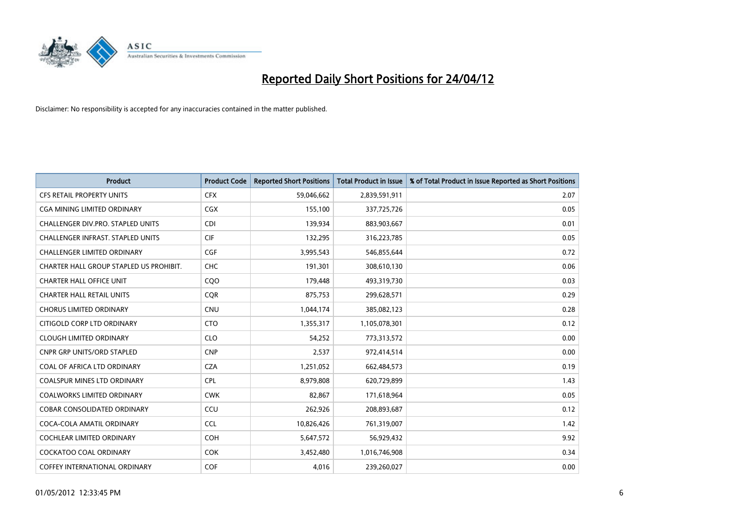

| <b>Product</b>                          | <b>Product Code</b> | <b>Reported Short Positions</b> | <b>Total Product in Issue</b> | % of Total Product in Issue Reported as Short Positions |
|-----------------------------------------|---------------------|---------------------------------|-------------------------------|---------------------------------------------------------|
| <b>CFS RETAIL PROPERTY UNITS</b>        | <b>CFX</b>          | 59,046,662                      | 2,839,591,911                 | 2.07                                                    |
| <b>CGA MINING LIMITED ORDINARY</b>      | CGX                 | 155,100                         | 337,725,726                   | 0.05                                                    |
| CHALLENGER DIV.PRO. STAPLED UNITS       | <b>CDI</b>          | 139,934                         | 883,903,667                   | 0.01                                                    |
| CHALLENGER INFRAST. STAPLED UNITS       | <b>CIF</b>          | 132,295                         | 316,223,785                   | 0.05                                                    |
| <b>CHALLENGER LIMITED ORDINARY</b>      | <b>CGF</b>          | 3,995,543                       | 546,855,644                   | 0.72                                                    |
| CHARTER HALL GROUP STAPLED US PROHIBIT. | CHC                 | 191,301                         | 308,610,130                   | 0.06                                                    |
| <b>CHARTER HALL OFFICE UNIT</b>         | CQ <sub>O</sub>     | 179,448                         | 493,319,730                   | 0.03                                                    |
| <b>CHARTER HALL RETAIL UNITS</b>        | <b>COR</b>          | 875,753                         | 299,628,571                   | 0.29                                                    |
| <b>CHORUS LIMITED ORDINARY</b>          | <b>CNU</b>          | 1,044,174                       | 385,082,123                   | 0.28                                                    |
| CITIGOLD CORP LTD ORDINARY              | <b>CTO</b>          | 1,355,317                       | 1,105,078,301                 | 0.12                                                    |
| <b>CLOUGH LIMITED ORDINARY</b>          | <b>CLO</b>          | 54,252                          | 773,313,572                   | 0.00                                                    |
| <b>CNPR GRP UNITS/ORD STAPLED</b>       | <b>CNP</b>          | 2,537                           | 972,414,514                   | 0.00                                                    |
| COAL OF AFRICA LTD ORDINARY             | <b>CZA</b>          | 1,251,052                       | 662,484,573                   | 0.19                                                    |
| <b>COALSPUR MINES LTD ORDINARY</b>      | <b>CPL</b>          | 8,979,808                       | 620,729,899                   | 1.43                                                    |
| <b>COALWORKS LIMITED ORDINARY</b>       | <b>CWK</b>          | 82,867                          | 171,618,964                   | 0.05                                                    |
| <b>COBAR CONSOLIDATED ORDINARY</b>      | CCU                 | 262,926                         | 208,893,687                   | 0.12                                                    |
| COCA-COLA AMATIL ORDINARY               | <b>CCL</b>          | 10,826,426                      | 761,319,007                   | 1.42                                                    |
| <b>COCHLEAR LIMITED ORDINARY</b>        | <b>COH</b>          | 5,647,572                       | 56,929,432                    | 9.92                                                    |
| COCKATOO COAL ORDINARY                  | <b>COK</b>          | 3,452,480                       | 1,016,746,908                 | 0.34                                                    |
| COFFEY INTERNATIONAL ORDINARY           | COF                 | 4,016                           | 239,260,027                   | 0.00                                                    |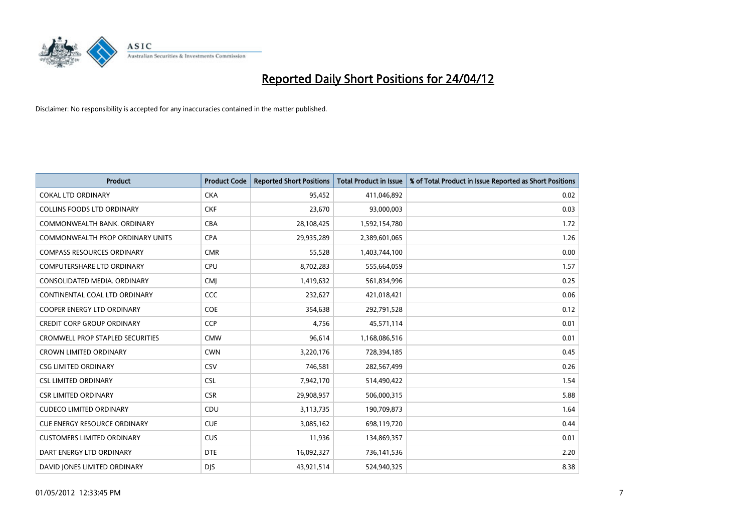

| <b>Product</b>                          | <b>Product Code</b> | <b>Reported Short Positions</b> | <b>Total Product in Issue</b> | % of Total Product in Issue Reported as Short Positions |
|-----------------------------------------|---------------------|---------------------------------|-------------------------------|---------------------------------------------------------|
| <b>COKAL LTD ORDINARY</b>               | <b>CKA</b>          | 95,452                          | 411,046,892                   | 0.02                                                    |
| COLLINS FOODS LTD ORDINARY              | <b>CKF</b>          | 23,670                          | 93,000,003                    | 0.03                                                    |
| COMMONWEALTH BANK, ORDINARY             | <b>CBA</b>          | 28,108,425                      | 1,592,154,780                 | 1.72                                                    |
| COMMONWEALTH PROP ORDINARY UNITS        | <b>CPA</b>          | 29,935,289                      | 2,389,601,065                 | 1.26                                                    |
| <b>COMPASS RESOURCES ORDINARY</b>       | <b>CMR</b>          | 55,528                          | 1,403,744,100                 | 0.00                                                    |
| <b>COMPUTERSHARE LTD ORDINARY</b>       | <b>CPU</b>          | 8,702,283                       | 555,664,059                   | 1.57                                                    |
| CONSOLIDATED MEDIA, ORDINARY            | <b>CMI</b>          | 1,419,632                       | 561,834,996                   | 0.25                                                    |
| CONTINENTAL COAL LTD ORDINARY           | <b>CCC</b>          | 232,627                         | 421,018,421                   | 0.06                                                    |
| <b>COOPER ENERGY LTD ORDINARY</b>       | <b>COE</b>          | 354,638                         | 292,791,528                   | 0.12                                                    |
| <b>CREDIT CORP GROUP ORDINARY</b>       | <b>CCP</b>          | 4,756                           | 45,571,114                    | 0.01                                                    |
| <b>CROMWELL PROP STAPLED SECURITIES</b> | <b>CMW</b>          | 96,614                          | 1,168,086,516                 | 0.01                                                    |
| <b>CROWN LIMITED ORDINARY</b>           | <b>CWN</b>          | 3,220,176                       | 728,394,185                   | 0.45                                                    |
| <b>CSG LIMITED ORDINARY</b>             | CSV                 | 746,581                         | 282,567,499                   | 0.26                                                    |
| <b>CSL LIMITED ORDINARY</b>             | <b>CSL</b>          | 7,942,170                       | 514,490,422                   | 1.54                                                    |
| <b>CSR LIMITED ORDINARY</b>             | <b>CSR</b>          | 29,908,957                      | 506,000,315                   | 5.88                                                    |
| <b>CUDECO LIMITED ORDINARY</b>          | CDU                 | 3,113,735                       | 190,709,873                   | 1.64                                                    |
| <b>CUE ENERGY RESOURCE ORDINARY</b>     | <b>CUE</b>          | 3,085,162                       | 698,119,720                   | 0.44                                                    |
| <b>CUSTOMERS LIMITED ORDINARY</b>       | <b>CUS</b>          | 11,936                          | 134,869,357                   | 0.01                                                    |
| DART ENERGY LTD ORDINARY                | <b>DTE</b>          | 16,092,327                      | 736,141,536                   | 2.20                                                    |
| DAVID JONES LIMITED ORDINARY            | <b>DJS</b>          | 43,921,514                      | 524,940,325                   | 8.38                                                    |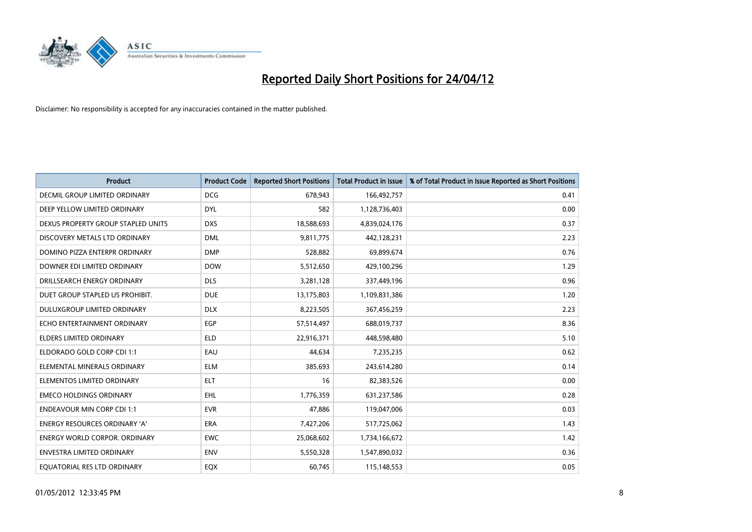

| <b>Product</b>                       | <b>Product Code</b> | <b>Reported Short Positions</b> | <b>Total Product in Issue</b> | % of Total Product in Issue Reported as Short Positions |
|--------------------------------------|---------------------|---------------------------------|-------------------------------|---------------------------------------------------------|
| DECMIL GROUP LIMITED ORDINARY        | <b>DCG</b>          | 678,943                         | 166,492,757                   | 0.41                                                    |
| DEEP YELLOW LIMITED ORDINARY         | <b>DYL</b>          | 582                             | 1,128,736,403                 | 0.00                                                    |
| DEXUS PROPERTY GROUP STAPLED UNITS   | <b>DXS</b>          | 18,588,693                      | 4,839,024,176                 | 0.37                                                    |
| DISCOVERY METALS LTD ORDINARY        | <b>DML</b>          | 9,811,775                       | 442,128,231                   | 2.23                                                    |
| DOMINO PIZZA ENTERPR ORDINARY        | <b>DMP</b>          | 528,882                         | 69,899,674                    | 0.76                                                    |
| DOWNER EDI LIMITED ORDINARY          | <b>DOW</b>          | 5,512,650                       | 429,100,296                   | 1.29                                                    |
| DRILLSEARCH ENERGY ORDINARY          | <b>DLS</b>          | 3,281,128                       | 337,449,196                   | 0.96                                                    |
| DUET GROUP STAPLED US PROHIBIT.      | <b>DUE</b>          | 13,175,803                      | 1,109,831,386                 | 1.20                                                    |
| DULUXGROUP LIMITED ORDINARY          | <b>DLX</b>          | 8,223,505                       | 367,456,259                   | 2.23                                                    |
| ECHO ENTERTAINMENT ORDINARY          | <b>EGP</b>          | 57,514,497                      | 688,019,737                   | 8.36                                                    |
| ELDERS LIMITED ORDINARY              | <b>ELD</b>          | 22,916,371                      | 448,598,480                   | 5.10                                                    |
| ELDORADO GOLD CORP CDI 1:1           | EAU                 | 44,634                          | 7,235,235                     | 0.62                                                    |
| ELEMENTAL MINERALS ORDINARY          | <b>ELM</b>          | 385,693                         | 243,614,280                   | 0.14                                                    |
| ELEMENTOS LIMITED ORDINARY           | <b>ELT</b>          | 16                              | 82,383,526                    | 0.00                                                    |
| <b>EMECO HOLDINGS ORDINARY</b>       | <b>EHL</b>          | 1,776,359                       | 631,237,586                   | 0.28                                                    |
| <b>ENDEAVOUR MIN CORP CDI 1:1</b>    | <b>EVR</b>          | 47,886                          | 119,047,006                   | 0.03                                                    |
| ENERGY RESOURCES ORDINARY 'A'        | ERA                 | 7,427,206                       | 517,725,062                   | 1.43                                                    |
| <b>ENERGY WORLD CORPOR. ORDINARY</b> | <b>EWC</b>          | 25,068,602                      | 1,734,166,672                 | 1.42                                                    |
| <b>ENVESTRA LIMITED ORDINARY</b>     | <b>ENV</b>          | 5,550,328                       | 1,547,890,032                 | 0.36                                                    |
| EQUATORIAL RES LTD ORDINARY          | EQX                 | 60,745                          | 115,148,553                   | 0.05                                                    |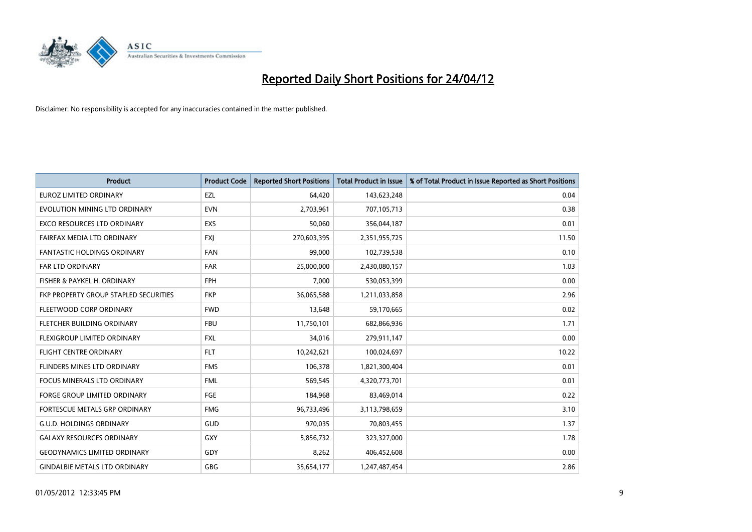

| <b>Product</b>                        | <b>Product Code</b> | <b>Reported Short Positions</b> | <b>Total Product in Issue</b> | % of Total Product in Issue Reported as Short Positions |
|---------------------------------------|---------------------|---------------------------------|-------------------------------|---------------------------------------------------------|
| <b>EUROZ LIMITED ORDINARY</b>         | EZL                 | 64,420                          | 143,623,248                   | 0.04                                                    |
| EVOLUTION MINING LTD ORDINARY         | <b>EVN</b>          | 2,703,961                       | 707,105,713                   | 0.38                                                    |
| EXCO RESOURCES LTD ORDINARY           | EXS                 | 50,060                          | 356,044,187                   | 0.01                                                    |
| FAIRFAX MEDIA LTD ORDINARY            | <b>FXI</b>          | 270,603,395                     | 2,351,955,725                 | 11.50                                                   |
| <b>FANTASTIC HOLDINGS ORDINARY</b>    | <b>FAN</b>          | 99,000                          | 102,739,538                   | 0.10                                                    |
| FAR LTD ORDINARY                      | FAR                 | 25,000,000                      | 2,430,080,157                 | 1.03                                                    |
| FISHER & PAYKEL H. ORDINARY           | <b>FPH</b>          | 7,000                           | 530,053,399                   | 0.00                                                    |
| FKP PROPERTY GROUP STAPLED SECURITIES | <b>FKP</b>          | 36,065,588                      | 1,211,033,858                 | 2.96                                                    |
| FLEETWOOD CORP ORDINARY               | <b>FWD</b>          | 13,648                          | 59,170,665                    | 0.02                                                    |
| FLETCHER BUILDING ORDINARY            | <b>FBU</b>          | 11,750,101                      | 682,866,936                   | 1.71                                                    |
| FLEXIGROUP LIMITED ORDINARY           | <b>FXL</b>          | 34,016                          | 279,911,147                   | 0.00                                                    |
| FLIGHT CENTRE ORDINARY                | <b>FLT</b>          | 10,242,621                      | 100,024,697                   | 10.22                                                   |
| FLINDERS MINES LTD ORDINARY           | <b>FMS</b>          | 106,378                         | 1,821,300,404                 | 0.01                                                    |
| <b>FOCUS MINERALS LTD ORDINARY</b>    | <b>FML</b>          | 569,545                         | 4,320,773,701                 | 0.01                                                    |
| <b>FORGE GROUP LIMITED ORDINARY</b>   | FGE                 | 184,968                         | 83,469,014                    | 0.22                                                    |
| FORTESCUE METALS GRP ORDINARY         | <b>FMG</b>          | 96,733,496                      | 3,113,798,659                 | 3.10                                                    |
| <b>G.U.D. HOLDINGS ORDINARY</b>       | GUD                 | 970,035                         | 70,803,455                    | 1.37                                                    |
| <b>GALAXY RESOURCES ORDINARY</b>      | GXY                 | 5,856,732                       | 323,327,000                   | 1.78                                                    |
| <b>GEODYNAMICS LIMITED ORDINARY</b>   | GDY                 | 8,262                           | 406,452,608                   | 0.00                                                    |
| <b>GINDALBIE METALS LTD ORDINARY</b>  | GBG                 | 35,654,177                      | 1,247,487,454                 | 2.86                                                    |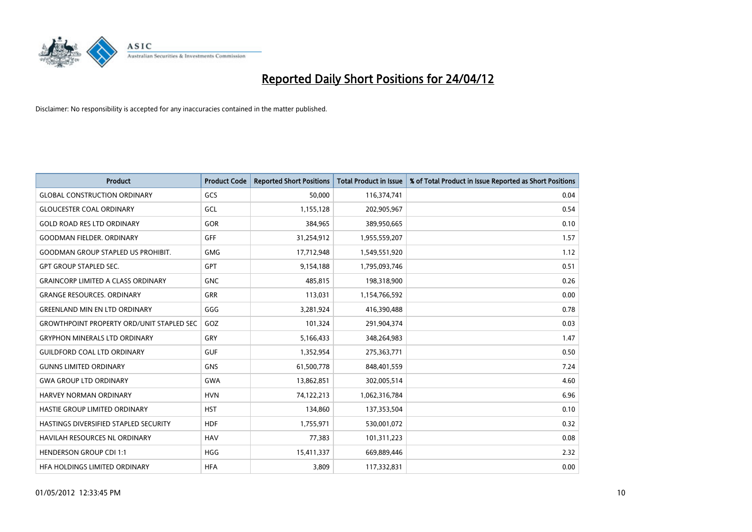

| <b>Product</b>                                   | <b>Product Code</b> | <b>Reported Short Positions</b> | <b>Total Product in Issue</b> | % of Total Product in Issue Reported as Short Positions |
|--------------------------------------------------|---------------------|---------------------------------|-------------------------------|---------------------------------------------------------|
| <b>GLOBAL CONSTRUCTION ORDINARY</b>              | GCS                 | 50,000                          | 116,374,741                   | 0.04                                                    |
| <b>GLOUCESTER COAL ORDINARY</b>                  | GCL                 | 1,155,128                       | 202,905,967                   | 0.54                                                    |
| <b>GOLD ROAD RES LTD ORDINARY</b>                | <b>GOR</b>          | 384,965                         | 389,950,665                   | 0.10                                                    |
| <b>GOODMAN FIELDER. ORDINARY</b>                 | <b>GFF</b>          | 31,254,912                      | 1,955,559,207                 | 1.57                                                    |
| <b>GOODMAN GROUP STAPLED US PROHIBIT.</b>        | <b>GMG</b>          | 17,712,948                      | 1,549,551,920                 | 1.12                                                    |
| <b>GPT GROUP STAPLED SEC.</b>                    | <b>GPT</b>          | 9,154,188                       | 1,795,093,746                 | 0.51                                                    |
| <b>GRAINCORP LIMITED A CLASS ORDINARY</b>        | <b>GNC</b>          | 485,815                         | 198,318,900                   | 0.26                                                    |
| <b>GRANGE RESOURCES. ORDINARY</b>                | GRR                 | 113,031                         | 1,154,766,592                 | 0.00                                                    |
| <b>GREENLAND MIN EN LTD ORDINARY</b>             | GGG                 | 3,281,924                       | 416,390,488                   | 0.78                                                    |
| <b>GROWTHPOINT PROPERTY ORD/UNIT STAPLED SEC</b> | GOZ                 | 101,324                         | 291,904,374                   | 0.03                                                    |
| <b>GRYPHON MINERALS LTD ORDINARY</b>             | GRY                 | 5,166,433                       | 348,264,983                   | 1.47                                                    |
| <b>GUILDFORD COAL LTD ORDINARY</b>               | <b>GUF</b>          | 1,352,954                       | 275,363,771                   | 0.50                                                    |
| <b>GUNNS LIMITED ORDINARY</b>                    | <b>GNS</b>          | 61,500,778                      | 848,401,559                   | 7.24                                                    |
| <b>GWA GROUP LTD ORDINARY</b>                    | <b>GWA</b>          | 13,862,851                      | 302,005,514                   | 4.60                                                    |
| HARVEY NORMAN ORDINARY                           | <b>HVN</b>          | 74,122,213                      | 1,062,316,784                 | 6.96                                                    |
| HASTIE GROUP LIMITED ORDINARY                    | <b>HST</b>          | 134,860                         | 137,353,504                   | 0.10                                                    |
| HASTINGS DIVERSIFIED STAPLED SECURITY            | <b>HDF</b>          | 1,755,971                       | 530,001,072                   | 0.32                                                    |
| HAVILAH RESOURCES NL ORDINARY                    | <b>HAV</b>          | 77,383                          | 101,311,223                   | 0.08                                                    |
| <b>HENDERSON GROUP CDI 1:1</b>                   | <b>HGG</b>          | 15,411,337                      | 669,889,446                   | 2.32                                                    |
| HFA HOLDINGS LIMITED ORDINARY                    | <b>HFA</b>          | 3,809                           | 117,332,831                   | 0.00                                                    |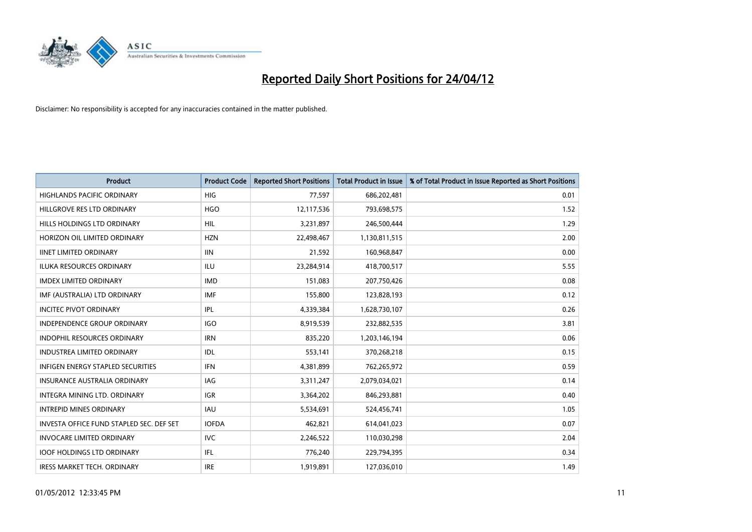

| <b>Product</b>                           | <b>Product Code</b> | <b>Reported Short Positions</b> | <b>Total Product in Issue</b> | % of Total Product in Issue Reported as Short Positions |
|------------------------------------------|---------------------|---------------------------------|-------------------------------|---------------------------------------------------------|
| <b>HIGHLANDS PACIFIC ORDINARY</b>        | <b>HIG</b>          | 77,597                          | 686,202,481                   | 0.01                                                    |
| HILLGROVE RES LTD ORDINARY               | <b>HGO</b>          | 12,117,536                      | 793,698,575                   | 1.52                                                    |
| HILLS HOLDINGS LTD ORDINARY              | <b>HIL</b>          | 3,231,897                       | 246,500,444                   | 1.29                                                    |
| HORIZON OIL LIMITED ORDINARY             | <b>HZN</b>          | 22,498,467                      | 1,130,811,515                 | 2.00                                                    |
| <b>IINET LIMITED ORDINARY</b>            | <b>IIN</b>          | 21,592                          | 160,968,847                   | 0.00                                                    |
| <b>ILUKA RESOURCES ORDINARY</b>          | <b>ILU</b>          | 23,284,914                      | 418,700,517                   | 5.55                                                    |
| <b>IMDEX LIMITED ORDINARY</b>            | <b>IMD</b>          | 151,083                         | 207,750,426                   | 0.08                                                    |
| IMF (AUSTRALIA) LTD ORDINARY             | <b>IMF</b>          | 155,800                         | 123,828,193                   | 0.12                                                    |
| <b>INCITEC PIVOT ORDINARY</b>            | <b>IPL</b>          | 4,339,384                       | 1,628,730,107                 | 0.26                                                    |
| <b>INDEPENDENCE GROUP ORDINARY</b>       | <b>IGO</b>          | 8,919,539                       | 232,882,535                   | 3.81                                                    |
| INDOPHIL RESOURCES ORDINARY              | <b>IRN</b>          | 835,220                         | 1,203,146,194                 | 0.06                                                    |
| <b>INDUSTREA LIMITED ORDINARY</b>        | IDL                 | 553,141                         | 370,268,218                   | 0.15                                                    |
| <b>INFIGEN ENERGY STAPLED SECURITIES</b> | <b>IFN</b>          | 4,381,899                       | 762,265,972                   | 0.59                                                    |
| <b>INSURANCE AUSTRALIA ORDINARY</b>      | IAG                 | 3,311,247                       | 2,079,034,021                 | 0.14                                                    |
| INTEGRA MINING LTD, ORDINARY             | <b>IGR</b>          | 3,364,202                       | 846,293,881                   | 0.40                                                    |
| <b>INTREPID MINES ORDINARY</b>           | <b>IAU</b>          | 5,534,691                       | 524,456,741                   | 1.05                                                    |
| INVESTA OFFICE FUND STAPLED SEC. DEF SET | <b>IOFDA</b>        | 462,821                         | 614,041,023                   | 0.07                                                    |
| <b>INVOCARE LIMITED ORDINARY</b>         | IVC.                | 2,246,522                       | 110,030,298                   | 2.04                                                    |
| <b>IOOF HOLDINGS LTD ORDINARY</b>        | IFL                 | 776,240                         | 229,794,395                   | 0.34                                                    |
| <b>IRESS MARKET TECH. ORDINARY</b>       | <b>IRE</b>          | 1,919,891                       | 127,036,010                   | 1.49                                                    |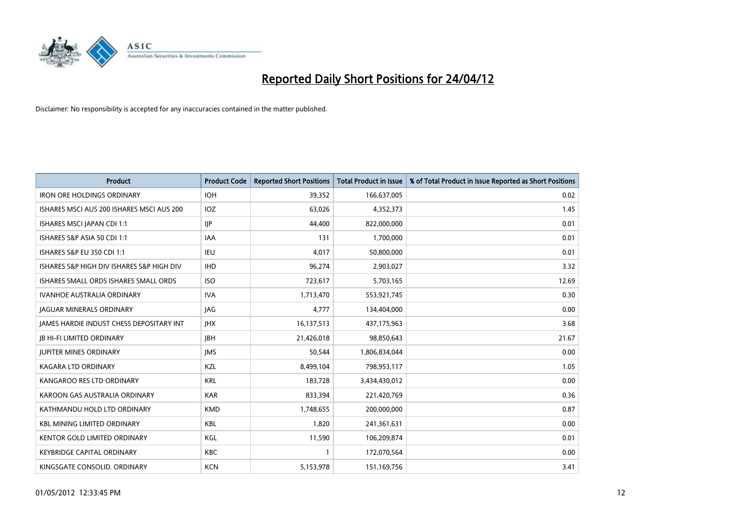

| <b>Product</b>                            | <b>Product Code</b> | <b>Reported Short Positions</b> | <b>Total Product in Issue</b> | % of Total Product in Issue Reported as Short Positions |
|-------------------------------------------|---------------------|---------------------------------|-------------------------------|---------------------------------------------------------|
| <b>IRON ORE HOLDINGS ORDINARY</b>         | <b>IOH</b>          | 39,352                          | 166,637,005                   | 0.02                                                    |
| ISHARES MSCI AUS 200 ISHARES MSCI AUS 200 | <b>IOZ</b>          | 63,026                          | 4,352,373                     | 1.45                                                    |
| ISHARES MSCI JAPAN CDI 1:1                | <b>IIP</b>          | 44.400                          | 822,000,000                   | 0.01                                                    |
| ISHARES S&P ASIA 50 CDI 1:1               | <b>IAA</b>          | 131                             | 1,700,000                     | 0.01                                                    |
| <b>ISHARES S&amp;P EU 350 CDI 1:1</b>     | IEU                 | 4,017                           | 50,800,000                    | 0.01                                                    |
| ISHARES S&P HIGH DIV ISHARES S&P HIGH DIV | <b>IHD</b>          | 96,274                          | 2,903,027                     | 3.32                                                    |
| ISHARES SMALL ORDS ISHARES SMALL ORDS     | <b>ISO</b>          | 723,617                         | 5,703,165                     | 12.69                                                   |
| <b>IVANHOE AUSTRALIA ORDINARY</b>         | <b>IVA</b>          | 1,713,470                       | 553,921,745                   | 0.30                                                    |
| <b>JAGUAR MINERALS ORDINARY</b>           | JAG                 | 4.777                           | 134,404,000                   | 0.00                                                    |
| JAMES HARDIE INDUST CHESS DEPOSITARY INT  | <b>IHX</b>          | 16,137,513                      | 437,175,963                   | 3.68                                                    |
| <b>JB HI-FI LIMITED ORDINARY</b>          | <b>IBH</b>          | 21,426,018                      | 98,850,643                    | 21.67                                                   |
| <b>JUPITER MINES ORDINARY</b>             | <b>IMS</b>          | 50,544                          | 1,806,834,044                 | 0.00                                                    |
| <b>KAGARA LTD ORDINARY</b>                | <b>KZL</b>          | 8,499,104                       | 798,953,117                   | 1.05                                                    |
| KANGAROO RES LTD ORDINARY                 | <b>KRL</b>          | 183,728                         | 3,434,430,012                 | 0.00                                                    |
| KAROON GAS AUSTRALIA ORDINARY             | <b>KAR</b>          | 833,394                         | 221,420,769                   | 0.36                                                    |
| KATHMANDU HOLD LTD ORDINARY               | <b>KMD</b>          | 1,748,655                       | 200,000,000                   | 0.87                                                    |
| <b>KBL MINING LIMITED ORDINARY</b>        | KBL                 | 1,820                           | 241,361,631                   | 0.00                                                    |
| KENTOR GOLD LIMITED ORDINARY              | KGL                 | 11,590                          | 106,209,874                   | 0.01                                                    |
| <b>KEYBRIDGE CAPITAL ORDINARY</b>         | <b>KBC</b>          | 1                               | 172,070,564                   | 0.00                                                    |
| KINGSGATE CONSOLID. ORDINARY              | <b>KCN</b>          | 5,153,978                       | 151,169,756                   | 3.41                                                    |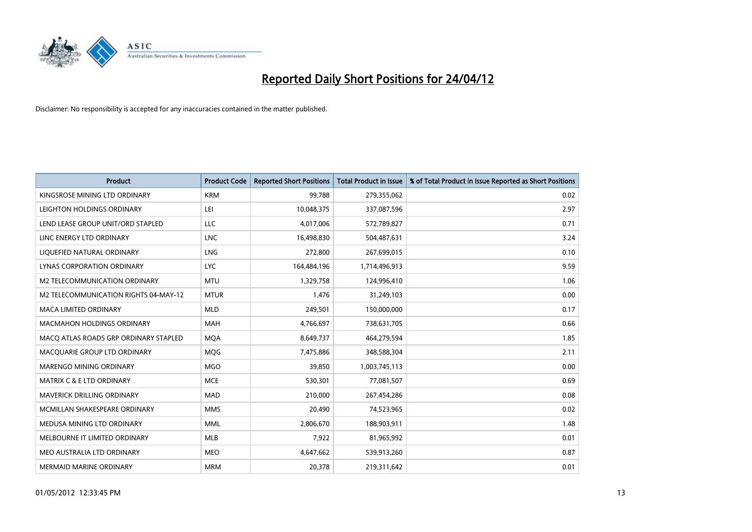

| <b>Product</b>                        | <b>Product Code</b> | <b>Reported Short Positions</b> | <b>Total Product in Issue</b> | % of Total Product in Issue Reported as Short Positions |
|---------------------------------------|---------------------|---------------------------------|-------------------------------|---------------------------------------------------------|
| KINGSROSE MINING LTD ORDINARY         | <b>KRM</b>          | 99,788                          | 279,355,062                   | 0.02                                                    |
| LEIGHTON HOLDINGS ORDINARY            | LEI                 | 10,048,375                      | 337,087,596                   | 2.97                                                    |
| LEND LEASE GROUP UNIT/ORD STAPLED     | <b>LLC</b>          | 4,017,006                       | 572,789,827                   | 0.71                                                    |
| LINC ENERGY LTD ORDINARY              | <b>LNC</b>          | 16,498,830                      | 504,487,631                   | 3.24                                                    |
| LIOUEFIED NATURAL ORDINARY            | LNG                 | 272,800                         | 267,699,015                   | 0.10                                                    |
| <b>LYNAS CORPORATION ORDINARY</b>     | <b>LYC</b>          | 164,484,196                     | 1,714,496,913                 | 9.59                                                    |
| M2 TELECOMMUNICATION ORDINARY         | <b>MTU</b>          | 1,329,758                       | 124,996,410                   | 1.06                                                    |
| M2 TELECOMMUNICATION RIGHTS 04-MAY-12 | <b>MTUR</b>         | 1,476                           | 31,249,103                    | 0.00                                                    |
| <b>MACA LIMITED ORDINARY</b>          | <b>MLD</b>          | 249,501                         | 150,000,000                   | 0.17                                                    |
| <b>MACMAHON HOLDINGS ORDINARY</b>     | MAH                 | 4,766,697                       | 738,631,705                   | 0.66                                                    |
| MACO ATLAS ROADS GRP ORDINARY STAPLED | <b>MOA</b>          | 8,649,737                       | 464,279,594                   | 1.85                                                    |
| MACQUARIE GROUP LTD ORDINARY          | <b>MQG</b>          | 7,475,886                       | 348,588,304                   | 2.11                                                    |
| MARENGO MINING ORDINARY               | <b>MGO</b>          | 39,850                          | 1,003,745,113                 | 0.00                                                    |
| <b>MATRIX C &amp; E LTD ORDINARY</b>  | <b>MCE</b>          | 530,301                         | 77,081,507                    | 0.69                                                    |
| MAVERICK DRILLING ORDINARY            | <b>MAD</b>          | 210,000                         | 267,454,286                   | 0.08                                                    |
| MCMILLAN SHAKESPEARE ORDINARY         | <b>MMS</b>          | 20,490                          | 74,523,965                    | 0.02                                                    |
| MEDUSA MINING LTD ORDINARY            | <b>MML</b>          | 2,806,670                       | 188,903,911                   | 1.48                                                    |
| MELBOURNE IT LIMITED ORDINARY         | <b>MLB</b>          | 7,922                           | 81,965,992                    | 0.01                                                    |
| MEO AUSTRALIA LTD ORDINARY            | <b>MEO</b>          | 4,647,662                       | 539,913,260                   | 0.87                                                    |
| <b>MERMAID MARINE ORDINARY</b>        | <b>MRM</b>          | 20,378                          | 219,311,642                   | 0.01                                                    |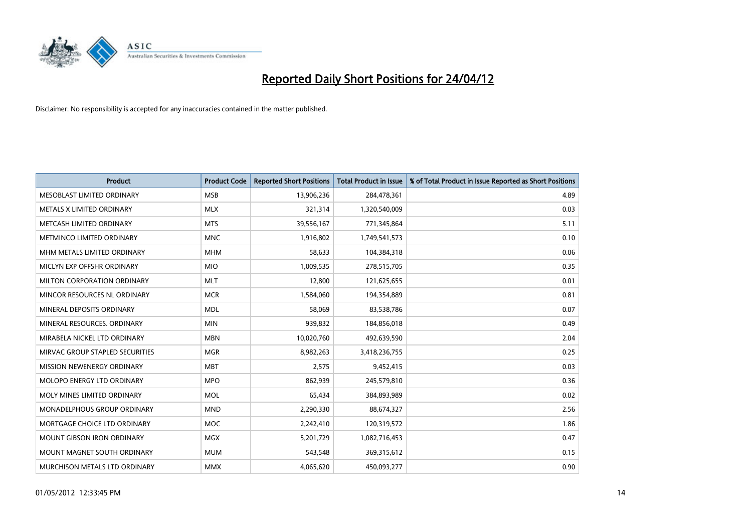

| <b>Product</b>                    | <b>Product Code</b> | <b>Reported Short Positions</b> | <b>Total Product in Issue</b> | % of Total Product in Issue Reported as Short Positions |
|-----------------------------------|---------------------|---------------------------------|-------------------------------|---------------------------------------------------------|
| MESOBLAST LIMITED ORDINARY        | <b>MSB</b>          | 13,906,236                      | 284,478,361                   | 4.89                                                    |
| METALS X LIMITED ORDINARY         | <b>MLX</b>          | 321,314                         | 1,320,540,009                 | 0.03                                                    |
| METCASH LIMITED ORDINARY          | <b>MTS</b>          | 39,556,167                      | 771,345,864                   | 5.11                                                    |
| METMINCO LIMITED ORDINARY         | <b>MNC</b>          | 1,916,802                       | 1,749,541,573                 | 0.10                                                    |
| MHM METALS LIMITED ORDINARY       | <b>MHM</b>          | 58,633                          | 104,384,318                   | 0.06                                                    |
| MICLYN EXP OFFSHR ORDINARY        | <b>MIO</b>          | 1,009,535                       | 278,515,705                   | 0.35                                                    |
| MILTON CORPORATION ORDINARY       | <b>MLT</b>          | 12,800                          | 121,625,655                   | 0.01                                                    |
| MINCOR RESOURCES NL ORDINARY      | <b>MCR</b>          | 1,584,060                       | 194,354,889                   | 0.81                                                    |
| MINERAL DEPOSITS ORDINARY         | <b>MDL</b>          | 58,069                          | 83,538,786                    | 0.07                                                    |
| MINERAL RESOURCES, ORDINARY       | <b>MIN</b>          | 939,832                         | 184,856,018                   | 0.49                                                    |
| MIRABELA NICKEL LTD ORDINARY      | <b>MBN</b>          | 10,020,760                      | 492,639,590                   | 2.04                                                    |
| MIRVAC GROUP STAPLED SECURITIES   | <b>MGR</b>          | 8,982,263                       | 3,418,236,755                 | 0.25                                                    |
| MISSION NEWENERGY ORDINARY        | <b>MBT</b>          | 2,575                           | 9,452,415                     | 0.03                                                    |
| MOLOPO ENERGY LTD ORDINARY        | <b>MPO</b>          | 862,939                         | 245,579,810                   | 0.36                                                    |
| MOLY MINES LIMITED ORDINARY       | <b>MOL</b>          | 65,434                          | 384,893,989                   | 0.02                                                    |
| MONADELPHOUS GROUP ORDINARY       | <b>MND</b>          | 2,290,330                       | 88,674,327                    | 2.56                                                    |
| MORTGAGE CHOICE LTD ORDINARY      | MOC                 | 2,242,410                       | 120,319,572                   | 1.86                                                    |
| <b>MOUNT GIBSON IRON ORDINARY</b> | <b>MGX</b>          | 5,201,729                       | 1,082,716,453                 | 0.47                                                    |
| MOUNT MAGNET SOUTH ORDINARY       | <b>MUM</b>          | 543,548                         | 369,315,612                   | 0.15                                                    |
| MURCHISON METALS LTD ORDINARY     | <b>MMX</b>          | 4,065,620                       | 450,093,277                   | 0.90                                                    |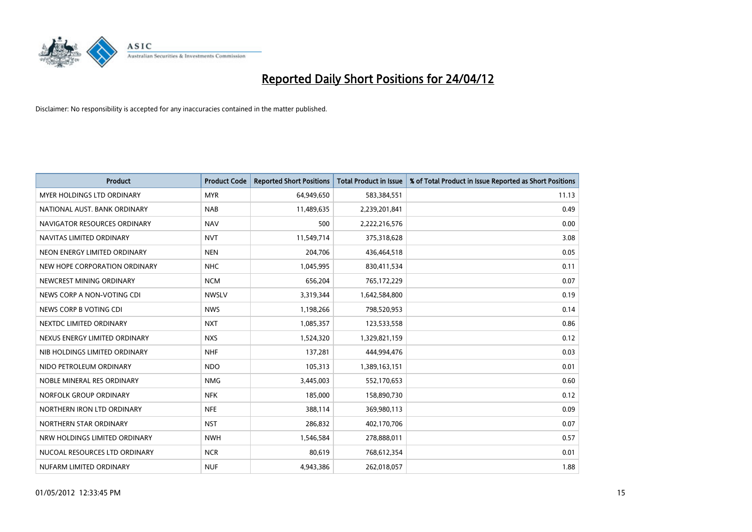

| <b>Product</b>                    | <b>Product Code</b> | <b>Reported Short Positions</b> | <b>Total Product in Issue</b> | % of Total Product in Issue Reported as Short Positions |
|-----------------------------------|---------------------|---------------------------------|-------------------------------|---------------------------------------------------------|
| <b>MYER HOLDINGS LTD ORDINARY</b> | <b>MYR</b>          | 64,949,650                      | 583,384,551                   | 11.13                                                   |
| NATIONAL AUST. BANK ORDINARY      | <b>NAB</b>          | 11,489,635                      | 2,239,201,841                 | 0.49                                                    |
| NAVIGATOR RESOURCES ORDINARY      | <b>NAV</b>          | 500                             | 2,222,216,576                 | 0.00                                                    |
| NAVITAS LIMITED ORDINARY          | <b>NVT</b>          | 11,549,714                      | 375,318,628                   | 3.08                                                    |
| NEON ENERGY LIMITED ORDINARY      | <b>NEN</b>          | 204,706                         | 436,464,518                   | 0.05                                                    |
| NEW HOPE CORPORATION ORDINARY     | <b>NHC</b>          | 1,045,995                       | 830,411,534                   | 0.11                                                    |
| NEWCREST MINING ORDINARY          | <b>NCM</b>          | 656,204                         | 765,172,229                   | 0.07                                                    |
| NEWS CORP A NON-VOTING CDI        | <b>NWSLV</b>        | 3,319,344                       | 1,642,584,800                 | 0.19                                                    |
| NEWS CORP B VOTING CDI            | <b>NWS</b>          | 1,198,266                       | 798,520,953                   | 0.14                                                    |
| NEXTDC LIMITED ORDINARY           | <b>NXT</b>          | 1,085,357                       | 123,533,558                   | 0.86                                                    |
| NEXUS ENERGY LIMITED ORDINARY     | <b>NXS</b>          | 1,524,320                       | 1,329,821,159                 | 0.12                                                    |
| NIB HOLDINGS LIMITED ORDINARY     | <b>NHF</b>          | 137,281                         | 444,994,476                   | 0.03                                                    |
| NIDO PETROLEUM ORDINARY           | <b>NDO</b>          | 105,313                         | 1,389,163,151                 | 0.01                                                    |
| NOBLE MINERAL RES ORDINARY        | <b>NMG</b>          | 3,445,003                       | 552,170,653                   | 0.60                                                    |
| NORFOLK GROUP ORDINARY            | <b>NFK</b>          | 185,000                         | 158,890,730                   | 0.12                                                    |
| NORTHERN IRON LTD ORDINARY        | <b>NFE</b>          | 388,114                         | 369,980,113                   | 0.09                                                    |
| NORTHERN STAR ORDINARY            | <b>NST</b>          | 286,832                         | 402,170,706                   | 0.07                                                    |
| NRW HOLDINGS LIMITED ORDINARY     | <b>NWH</b>          | 1,546,584                       | 278,888,011                   | 0.57                                                    |
| NUCOAL RESOURCES LTD ORDINARY     | <b>NCR</b>          | 80,619                          | 768,612,354                   | 0.01                                                    |
| NUFARM LIMITED ORDINARY           | <b>NUF</b>          | 4,943,386                       | 262,018,057                   | 1.88                                                    |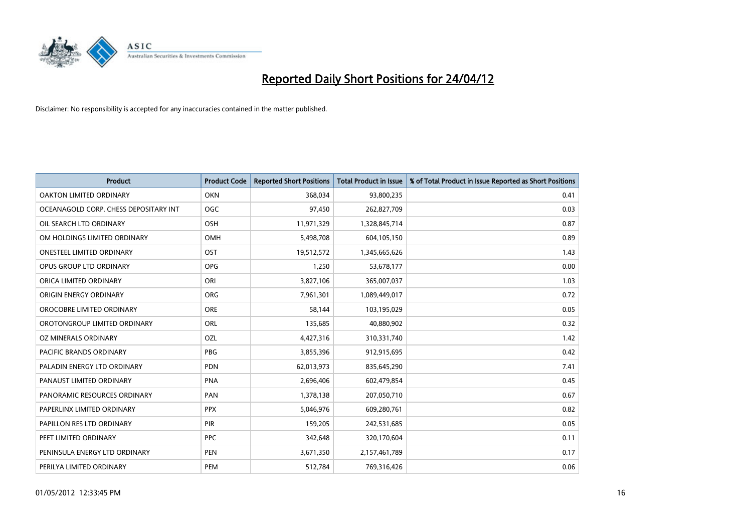

| <b>Product</b>                        | <b>Product Code</b> | <b>Reported Short Positions</b> | <b>Total Product in Issue</b> | % of Total Product in Issue Reported as Short Positions |
|---------------------------------------|---------------------|---------------------------------|-------------------------------|---------------------------------------------------------|
| <b>OAKTON LIMITED ORDINARY</b>        | <b>OKN</b>          | 368,034                         | 93,800,235                    | 0.41                                                    |
| OCEANAGOLD CORP. CHESS DEPOSITARY INT | <b>OGC</b>          | 97,450                          | 262,827,709                   | 0.03                                                    |
| OIL SEARCH LTD ORDINARY               | OSH                 | 11,971,329                      | 1,328,845,714                 | 0.87                                                    |
| OM HOLDINGS LIMITED ORDINARY          | OMH                 | 5,498,708                       | 604,105,150                   | 0.89                                                    |
| <b>ONESTEEL LIMITED ORDINARY</b>      | OST                 | 19,512,572                      | 1,345,665,626                 | 1.43                                                    |
| OPUS GROUP LTD ORDINARY               | <b>OPG</b>          | 1,250                           | 53,678,177                    | 0.00                                                    |
| ORICA LIMITED ORDINARY                | ORI                 | 3,827,106                       | 365,007,037                   | 1.03                                                    |
| ORIGIN ENERGY ORDINARY                | ORG                 | 7,961,301                       | 1,089,449,017                 | 0.72                                                    |
| OROCOBRE LIMITED ORDINARY             | <b>ORE</b>          | 58.144                          | 103,195,029                   | 0.05                                                    |
| OROTONGROUP LIMITED ORDINARY          | <b>ORL</b>          | 135,685                         | 40,880,902                    | 0.32                                                    |
| OZ MINERALS ORDINARY                  | OZL                 | 4,427,316                       | 310,331,740                   | 1.42                                                    |
| PACIFIC BRANDS ORDINARY               | <b>PBG</b>          | 3,855,396                       | 912,915,695                   | 0.42                                                    |
| PALADIN ENERGY LTD ORDINARY           | <b>PDN</b>          | 62,013,973                      | 835,645,290                   | 7.41                                                    |
| PANAUST LIMITED ORDINARY              | <b>PNA</b>          | 2,696,406                       | 602,479,854                   | 0.45                                                    |
| PANORAMIC RESOURCES ORDINARY          | PAN                 | 1,378,138                       | 207,050,710                   | 0.67                                                    |
| PAPERLINX LIMITED ORDINARY            | <b>PPX</b>          | 5,046,976                       | 609,280,761                   | 0.82                                                    |
| PAPILLON RES LTD ORDINARY             | <b>PIR</b>          | 159,205                         | 242,531,685                   | 0.05                                                    |
| PEET LIMITED ORDINARY                 | <b>PPC</b>          | 342,648                         | 320,170,604                   | 0.11                                                    |
| PENINSULA ENERGY LTD ORDINARY         | <b>PEN</b>          | 3,671,350                       | 2,157,461,789                 | 0.17                                                    |
| PERILYA LIMITED ORDINARY              | <b>PEM</b>          | 512,784                         | 769,316,426                   | 0.06                                                    |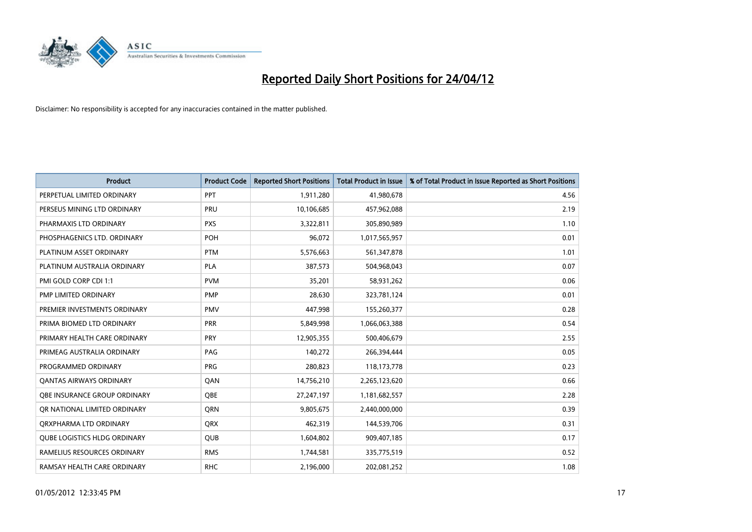

| <b>Product</b>                      | <b>Product Code</b> | <b>Reported Short Positions</b> | <b>Total Product in Issue</b> | % of Total Product in Issue Reported as Short Positions |
|-------------------------------------|---------------------|---------------------------------|-------------------------------|---------------------------------------------------------|
| PERPETUAL LIMITED ORDINARY          | PPT                 | 1,911,280                       | 41,980,678                    | 4.56                                                    |
| PERSEUS MINING LTD ORDINARY         | <b>PRU</b>          | 10,106,685                      | 457,962,088                   | 2.19                                                    |
| PHARMAXIS LTD ORDINARY              | <b>PXS</b>          | 3,322,811                       | 305,890,989                   | 1.10                                                    |
| PHOSPHAGENICS LTD. ORDINARY         | POH                 | 96,072                          | 1,017,565,957                 | 0.01                                                    |
| PLATINUM ASSET ORDINARY             | <b>PTM</b>          | 5,576,663                       | 561,347,878                   | 1.01                                                    |
| PLATINUM AUSTRALIA ORDINARY         | <b>PLA</b>          | 387,573                         | 504,968,043                   | 0.07                                                    |
| PMI GOLD CORP CDI 1:1               | <b>PVM</b>          | 35,201                          | 58,931,262                    | 0.06                                                    |
| PMP LIMITED ORDINARY                | <b>PMP</b>          | 28,630                          | 323,781,124                   | 0.01                                                    |
| PREMIER INVESTMENTS ORDINARY        | <b>PMV</b>          | 447,998                         | 155,260,377                   | 0.28                                                    |
| PRIMA BIOMED LTD ORDINARY           | <b>PRR</b>          | 5,849,998                       | 1,066,063,388                 | 0.54                                                    |
| PRIMARY HEALTH CARE ORDINARY        | <b>PRY</b>          | 12,905,355                      | 500,406,679                   | 2.55                                                    |
| PRIMEAG AUSTRALIA ORDINARY          | PAG                 | 140,272                         | 266,394,444                   | 0.05                                                    |
| PROGRAMMED ORDINARY                 | <b>PRG</b>          | 280,823                         | 118,173,778                   | 0.23                                                    |
| OANTAS AIRWAYS ORDINARY             | QAN                 | 14,756,210                      | 2,265,123,620                 | 0.66                                                    |
| OBE INSURANCE GROUP ORDINARY        | QBE                 | 27,247,197                      | 1,181,682,557                 | 2.28                                                    |
| OR NATIONAL LIMITED ORDINARY        | <b>ORN</b>          | 9,805,675                       | 2,440,000,000                 | 0.39                                                    |
| ORXPHARMA LTD ORDINARY              | <b>QRX</b>          | 462,319                         | 144,539,706                   | 0.31                                                    |
| <b>OUBE LOGISTICS HLDG ORDINARY</b> | <b>QUB</b>          | 1,604,802                       | 909,407,185                   | 0.17                                                    |
| RAMELIUS RESOURCES ORDINARY         | <b>RMS</b>          | 1,744,581                       | 335,775,519                   | 0.52                                                    |
| RAMSAY HEALTH CARE ORDINARY         | <b>RHC</b>          | 2,196,000                       | 202,081,252                   | 1.08                                                    |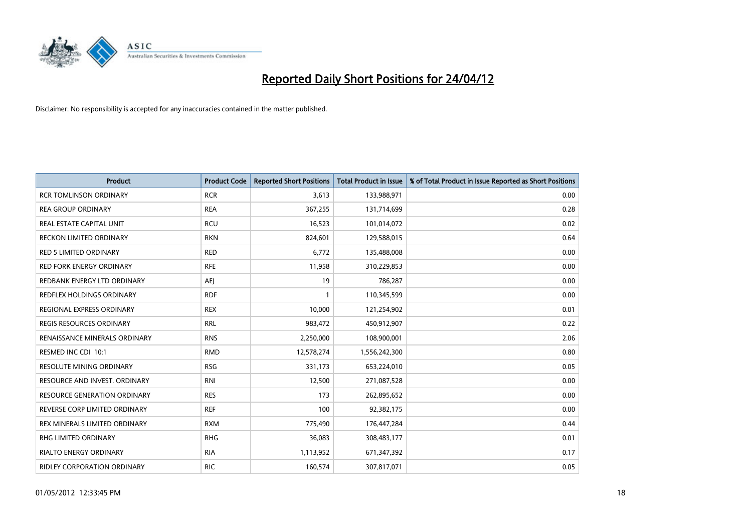

| Product                             | <b>Product Code</b> | <b>Reported Short Positions</b> | <b>Total Product in Issue</b> | % of Total Product in Issue Reported as Short Positions |
|-------------------------------------|---------------------|---------------------------------|-------------------------------|---------------------------------------------------------|
| <b>RCR TOMLINSON ORDINARY</b>       | <b>RCR</b>          | 3,613                           | 133,988,971                   | 0.00                                                    |
| <b>REA GROUP ORDINARY</b>           | <b>REA</b>          | 367,255                         | 131,714,699                   | 0.28                                                    |
| REAL ESTATE CAPITAL UNIT            | <b>RCU</b>          | 16,523                          | 101,014,072                   | 0.02                                                    |
| RECKON LIMITED ORDINARY             | <b>RKN</b>          | 824,601                         | 129,588,015                   | 0.64                                                    |
| <b>RED 5 LIMITED ORDINARY</b>       | <b>RED</b>          | 6,772                           | 135,488,008                   | 0.00                                                    |
| <b>RED FORK ENERGY ORDINARY</b>     | <b>RFE</b>          | 11,958                          | 310,229,853                   | 0.00                                                    |
| REDBANK ENERGY LTD ORDINARY         | <b>AEI</b>          | 19                              | 786,287                       | 0.00                                                    |
| REDFLEX HOLDINGS ORDINARY           | <b>RDF</b>          | $\mathbf{1}$                    | 110,345,599                   | 0.00                                                    |
| REGIONAL EXPRESS ORDINARY           | <b>REX</b>          | 10,000                          | 121,254,902                   | 0.01                                                    |
| <b>REGIS RESOURCES ORDINARY</b>     | <b>RRL</b>          | 983,472                         | 450,912,907                   | 0.22                                                    |
| RENAISSANCE MINERALS ORDINARY       | <b>RNS</b>          | 2,250,000                       | 108,900,001                   | 2.06                                                    |
| RESMED INC CDI 10:1                 | <b>RMD</b>          | 12,578,274                      | 1,556,242,300                 | 0.80                                                    |
| RESOLUTE MINING ORDINARY            | <b>RSG</b>          | 331,173                         | 653,224,010                   | 0.05                                                    |
| RESOURCE AND INVEST. ORDINARY       | <b>RNI</b>          | 12,500                          | 271,087,528                   | 0.00                                                    |
| <b>RESOURCE GENERATION ORDINARY</b> | <b>RES</b>          | 173                             | 262,895,652                   | 0.00                                                    |
| REVERSE CORP LIMITED ORDINARY       | <b>REF</b>          | 100                             | 92,382,175                    | 0.00                                                    |
| REX MINERALS LIMITED ORDINARY       | <b>RXM</b>          | 775,490                         | 176,447,284                   | 0.44                                                    |
| <b>RHG LIMITED ORDINARY</b>         | <b>RHG</b>          | 36,083                          | 308,483,177                   | 0.01                                                    |
| <b>RIALTO ENERGY ORDINARY</b>       | <b>RIA</b>          | 1,113,952                       | 671,347,392                   | 0.17                                                    |
| RIDLEY CORPORATION ORDINARY         | <b>RIC</b>          | 160,574                         | 307,817,071                   | 0.05                                                    |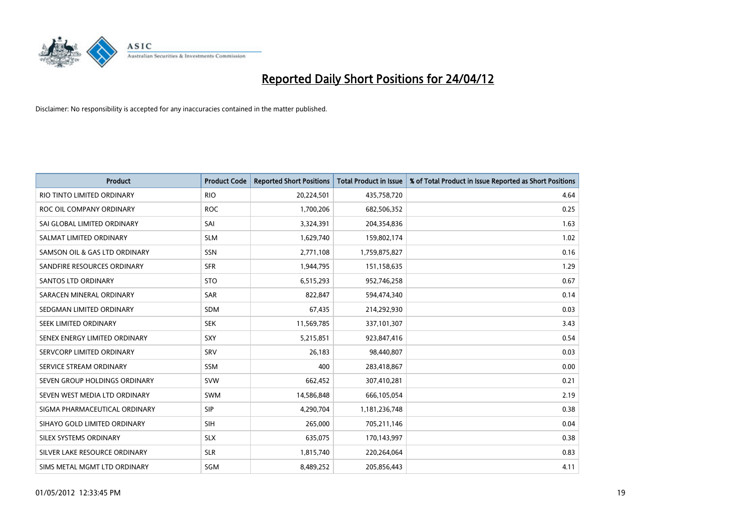

| <b>Product</b>                | <b>Product Code</b> | <b>Reported Short Positions</b> | <b>Total Product in Issue</b> | % of Total Product in Issue Reported as Short Positions |
|-------------------------------|---------------------|---------------------------------|-------------------------------|---------------------------------------------------------|
| RIO TINTO LIMITED ORDINARY    | <b>RIO</b>          | 20,224,501                      | 435,758,720                   | 4.64                                                    |
| ROC OIL COMPANY ORDINARY      | <b>ROC</b>          | 1,700,206                       | 682,506,352                   | 0.25                                                    |
| SAI GLOBAL LIMITED ORDINARY   | SAI                 | 3,324,391                       | 204,354,836                   | 1.63                                                    |
| SALMAT LIMITED ORDINARY       | <b>SLM</b>          | 1,629,740                       | 159,802,174                   | 1.02                                                    |
| SAMSON OIL & GAS LTD ORDINARY | SSN                 | 2,771,108                       | 1,759,875,827                 | 0.16                                                    |
| SANDFIRE RESOURCES ORDINARY   | <b>SFR</b>          | 1,944,795                       | 151,158,635                   | 1.29                                                    |
| <b>SANTOS LTD ORDINARY</b>    | <b>STO</b>          | 6,515,293                       | 952,746,258                   | 0.67                                                    |
| SARACEN MINERAL ORDINARY      | <b>SAR</b>          | 822,847                         | 594,474,340                   | 0.14                                                    |
| SEDGMAN LIMITED ORDINARY      | <b>SDM</b>          | 67,435                          | 214,292,930                   | 0.03                                                    |
| SEEK LIMITED ORDINARY         | <b>SEK</b>          | 11,569,785                      | 337,101,307                   | 3.43                                                    |
| SENEX ENERGY LIMITED ORDINARY | <b>SXY</b>          | 5,215,851                       | 923,847,416                   | 0.54                                                    |
| SERVCORP LIMITED ORDINARY     | SRV                 | 26,183                          | 98,440,807                    | 0.03                                                    |
| SERVICE STREAM ORDINARY       | <b>SSM</b>          | 400                             | 283,418,867                   | 0.00                                                    |
| SEVEN GROUP HOLDINGS ORDINARY | <b>SVW</b>          | 662,452                         | 307,410,281                   | 0.21                                                    |
| SEVEN WEST MEDIA LTD ORDINARY | <b>SWM</b>          | 14,586,848                      | 666,105,054                   | 2.19                                                    |
| SIGMA PHARMACEUTICAL ORDINARY | <b>SIP</b>          | 4,290,704                       | 1,181,236,748                 | 0.38                                                    |
| SIHAYO GOLD LIMITED ORDINARY  | SIH                 | 265,000                         | 705,211,146                   | 0.04                                                    |
| SILEX SYSTEMS ORDINARY        | <b>SLX</b>          | 635,075                         | 170,143,997                   | 0.38                                                    |
| SILVER LAKE RESOURCE ORDINARY | <b>SLR</b>          | 1,815,740                       | 220,264,064                   | 0.83                                                    |
| SIMS METAL MGMT LTD ORDINARY  | SGM                 | 8,489,252                       | 205,856,443                   | 4.11                                                    |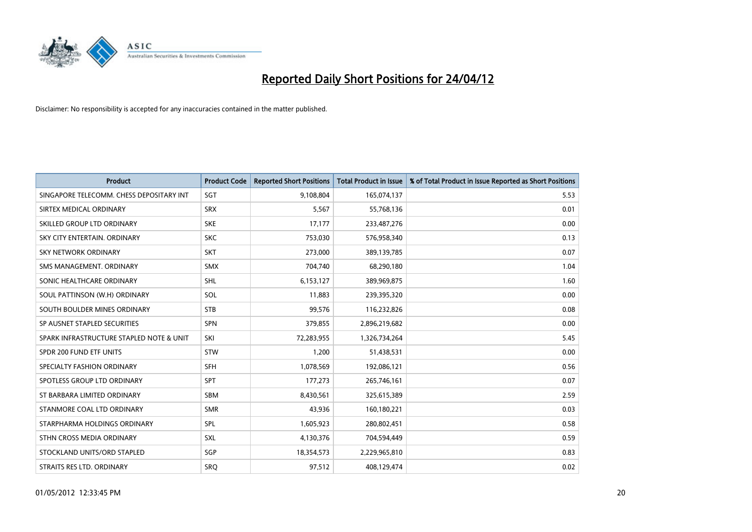

| <b>Product</b>                           | <b>Product Code</b> | <b>Reported Short Positions</b> | <b>Total Product in Issue</b> | % of Total Product in Issue Reported as Short Positions |
|------------------------------------------|---------------------|---------------------------------|-------------------------------|---------------------------------------------------------|
| SINGAPORE TELECOMM. CHESS DEPOSITARY INT | SGT                 | 9,108,804                       | 165,074,137                   | 5.53                                                    |
| SIRTEX MEDICAL ORDINARY                  | <b>SRX</b>          | 5,567                           | 55,768,136                    | 0.01                                                    |
| SKILLED GROUP LTD ORDINARY               | <b>SKE</b>          | 17.177                          | 233,487,276                   | 0.00                                                    |
| SKY CITY ENTERTAIN, ORDINARY             | <b>SKC</b>          | 753,030                         | 576,958,340                   | 0.13                                                    |
| <b>SKY NETWORK ORDINARY</b>              | <b>SKT</b>          | 273,000                         | 389,139,785                   | 0.07                                                    |
| SMS MANAGEMENT, ORDINARY                 | <b>SMX</b>          | 704,740                         | 68,290,180                    | 1.04                                                    |
| SONIC HEALTHCARE ORDINARY                | <b>SHL</b>          | 6,153,127                       | 389,969,875                   | 1.60                                                    |
| SOUL PATTINSON (W.H) ORDINARY            | SOL                 | 11,883                          | 239,395,320                   | 0.00                                                    |
| SOUTH BOULDER MINES ORDINARY             | <b>STB</b>          | 99,576                          | 116,232,826                   | 0.08                                                    |
| SP AUSNET STAPLED SECURITIES             | <b>SPN</b>          | 379,855                         | 2,896,219,682                 | 0.00                                                    |
| SPARK INFRASTRUCTURE STAPLED NOTE & UNIT | SKI                 | 72,283,955                      | 1,326,734,264                 | 5.45                                                    |
| SPDR 200 FUND ETF UNITS                  | <b>STW</b>          | 1,200                           | 51,438,531                    | 0.00                                                    |
| SPECIALTY FASHION ORDINARY               | <b>SFH</b>          | 1,078,569                       | 192,086,121                   | 0.56                                                    |
| SPOTLESS GROUP LTD ORDINARY              | SPT                 | 177,273                         | 265,746,161                   | 0.07                                                    |
| ST BARBARA LIMITED ORDINARY              | <b>SBM</b>          | 8,430,561                       | 325,615,389                   | 2.59                                                    |
| STANMORE COAL LTD ORDINARY               | <b>SMR</b>          | 43,936                          | 160,180,221                   | 0.03                                                    |
| STARPHARMA HOLDINGS ORDINARY             | SPL                 | 1,605,923                       | 280,802,451                   | 0.58                                                    |
| STHN CROSS MEDIA ORDINARY                | <b>SXL</b>          | 4,130,376                       | 704,594,449                   | 0.59                                                    |
| STOCKLAND UNITS/ORD STAPLED              | SGP                 | 18,354,573                      | 2,229,965,810                 | 0.83                                                    |
| STRAITS RES LTD. ORDINARY                | <b>SRO</b>          | 97,512                          | 408,129,474                   | 0.02                                                    |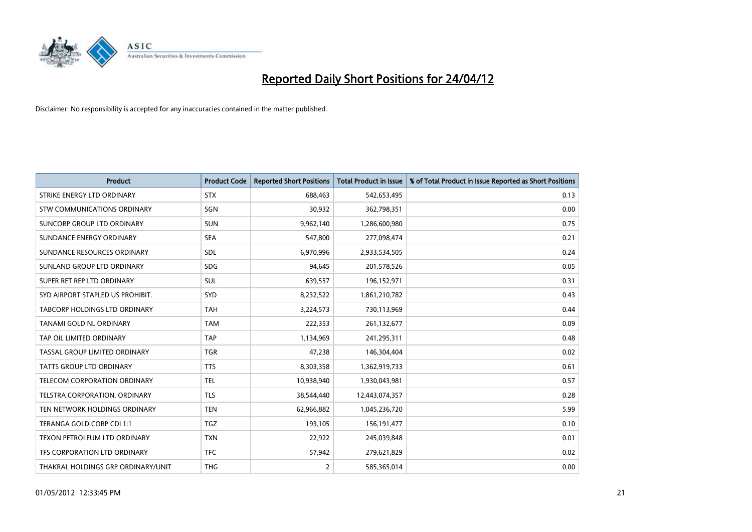

| <b>Product</b>                       | <b>Product Code</b> | <b>Reported Short Positions</b> | <b>Total Product in Issue</b> | % of Total Product in Issue Reported as Short Positions |
|--------------------------------------|---------------------|---------------------------------|-------------------------------|---------------------------------------------------------|
| STRIKE ENERGY LTD ORDINARY           | <b>STX</b>          | 688,463                         | 542,653,495                   | 0.13                                                    |
| STW COMMUNICATIONS ORDINARY          | SGN                 | 30,932                          | 362,798,351                   | 0.00                                                    |
| SUNCORP GROUP LTD ORDINARY           | <b>SUN</b>          | 9,962,140                       | 1,286,600,980                 | 0.75                                                    |
| SUNDANCE ENERGY ORDINARY             | <b>SEA</b>          | 547,800                         | 277,098,474                   | 0.21                                                    |
| SUNDANCE RESOURCES ORDINARY          | <b>SDL</b>          | 6,970,996                       | 2,933,534,505                 | 0.24                                                    |
| SUNLAND GROUP LTD ORDINARY           | <b>SDG</b>          | 94,645                          | 201,578,526                   | 0.05                                                    |
| SUPER RET REP LTD ORDINARY           | SUL                 | 639,557                         | 196,152,971                   | 0.31                                                    |
| SYD AIRPORT STAPLED US PROHIBIT.     | <b>SYD</b>          | 8,232,522                       | 1,861,210,782                 | 0.43                                                    |
| <b>TABCORP HOLDINGS LTD ORDINARY</b> | <b>TAH</b>          | 3,224,573                       | 730,113,969                   | 0.44                                                    |
| TANAMI GOLD NL ORDINARY              | <b>TAM</b>          | 222,353                         | 261,132,677                   | 0.09                                                    |
| TAP OIL LIMITED ORDINARY             | <b>TAP</b>          | 1,134,969                       | 241,295,311                   | 0.48                                                    |
| TASSAL GROUP LIMITED ORDINARY        | <b>TGR</b>          | 47,238                          | 146,304,404                   | 0.02                                                    |
| <b>TATTS GROUP LTD ORDINARY</b>      | <b>TTS</b>          | 8,303,358                       | 1,362,919,733                 | 0.61                                                    |
| TELECOM CORPORATION ORDINARY         | <b>TEL</b>          | 10,938,940                      | 1,930,043,981                 | 0.57                                                    |
| TELSTRA CORPORATION. ORDINARY        | <b>TLS</b>          | 38,544,440                      | 12,443,074,357                | 0.28                                                    |
| TEN NETWORK HOLDINGS ORDINARY        | <b>TEN</b>          | 62,966,882                      | 1,045,236,720                 | 5.99                                                    |
| TERANGA GOLD CORP CDI 1:1            | <b>TGZ</b>          | 193,105                         | 156, 191, 477                 | 0.10                                                    |
| <b>TEXON PETROLEUM LTD ORDINARY</b>  | <b>TXN</b>          | 22,922                          | 245,039,848                   | 0.01                                                    |
| TFS CORPORATION LTD ORDINARY         | <b>TFC</b>          | 57,942                          | 279,621,829                   | 0.02                                                    |
| THAKRAL HOLDINGS GRP ORDINARY/UNIT   | <b>THG</b>          | 2                               | 585,365,014                   | 0.00                                                    |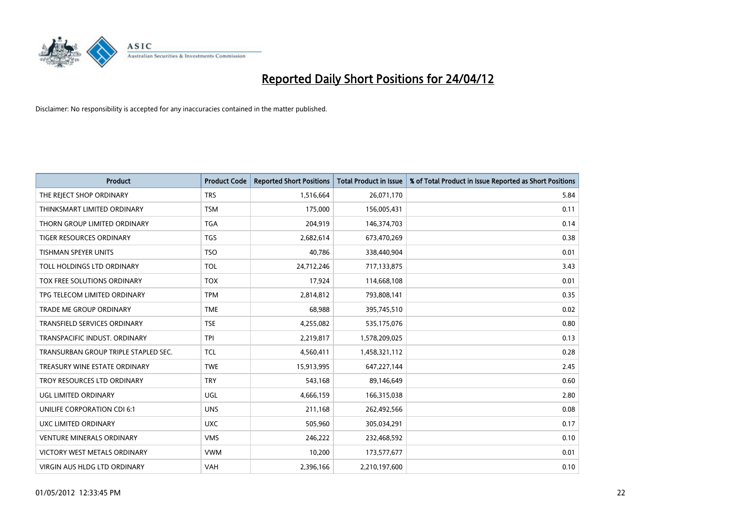

| <b>Product</b>                       | <b>Product Code</b> | <b>Reported Short Positions</b> | <b>Total Product in Issue</b> | % of Total Product in Issue Reported as Short Positions |
|--------------------------------------|---------------------|---------------------------------|-------------------------------|---------------------------------------------------------|
| THE REJECT SHOP ORDINARY             | <b>TRS</b>          | 1,516,664                       | 26,071,170                    | 5.84                                                    |
| THINKSMART LIMITED ORDINARY          | <b>TSM</b>          | 175,000                         | 156,005,431                   | 0.11                                                    |
| THORN GROUP LIMITED ORDINARY         | <b>TGA</b>          | 204,919                         | 146,374,703                   | 0.14                                                    |
| TIGER RESOURCES ORDINARY             | <b>TGS</b>          | 2,682,614                       | 673,470,269                   | 0.38                                                    |
| <b>TISHMAN SPEYER UNITS</b>          | <b>TSO</b>          | 40,786                          | 338,440,904                   | 0.01                                                    |
| TOLL HOLDINGS LTD ORDINARY           | <b>TOL</b>          | 24,712,246                      | 717,133,875                   | 3.43                                                    |
| TOX FREE SOLUTIONS ORDINARY          | <b>TOX</b>          | 17,924                          | 114,668,108                   | 0.01                                                    |
| TPG TELECOM LIMITED ORDINARY         | <b>TPM</b>          | 2,814,812                       | 793,808,141                   | 0.35                                                    |
| <b>TRADE ME GROUP ORDINARY</b>       | <b>TME</b>          | 68,988                          | 395,745,510                   | 0.02                                                    |
| <b>TRANSFIELD SERVICES ORDINARY</b>  | <b>TSE</b>          | 4,255,082                       | 535,175,076                   | 0.80                                                    |
| TRANSPACIFIC INDUST, ORDINARY        | <b>TPI</b>          | 2,219,817                       | 1,578,209,025                 | 0.13                                                    |
| TRANSURBAN GROUP TRIPLE STAPLED SEC. | <b>TCL</b>          | 4,560,411                       | 1,458,321,112                 | 0.28                                                    |
| TREASURY WINE ESTATE ORDINARY        | <b>TWE</b>          | 15,913,995                      | 647,227,144                   | 2.45                                                    |
| TROY RESOURCES LTD ORDINARY          | <b>TRY</b>          | 543,168                         | 89,146,649                    | 0.60                                                    |
| UGL LIMITED ORDINARY                 | UGL                 | 4,666,159                       | 166,315,038                   | 2.80                                                    |
| UNILIFE CORPORATION CDI 6:1          | <b>UNS</b>          | 211,168                         | 262,492,566                   | 0.08                                                    |
| UXC LIMITED ORDINARY                 | <b>UXC</b>          | 505,960                         | 305,034,291                   | 0.17                                                    |
| VENTURE MINERALS ORDINARY            | <b>VMS</b>          | 246,222                         | 232,468,592                   | 0.10                                                    |
| VICTORY WEST METALS ORDINARY         | <b>VWM</b>          | 10,200                          | 173,577,677                   | 0.01                                                    |
| VIRGIN AUS HLDG LTD ORDINARY         | <b>VAH</b>          | 2,396,166                       | 2,210,197,600                 | 0.10                                                    |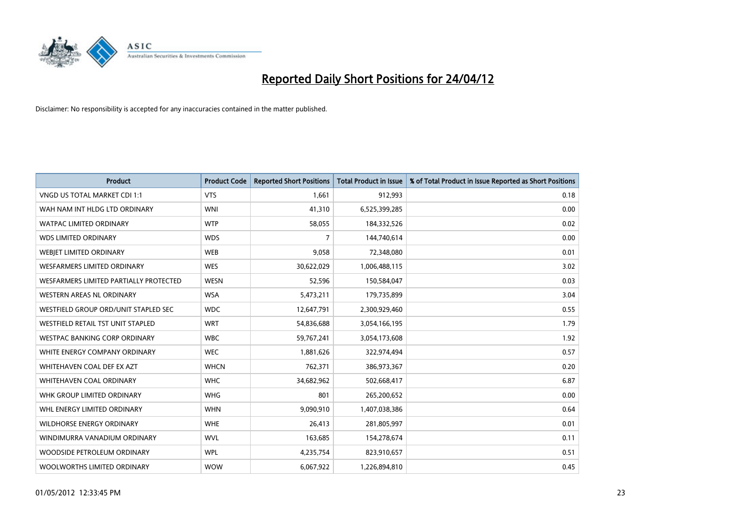

| <b>Product</b>                         | <b>Product Code</b> | <b>Reported Short Positions</b> | <b>Total Product in Issue</b> | % of Total Product in Issue Reported as Short Positions |
|----------------------------------------|---------------------|---------------------------------|-------------------------------|---------------------------------------------------------|
| VNGD US TOTAL MARKET CDI 1:1           | <b>VTS</b>          | 1,661                           | 912,993                       | 0.18                                                    |
| WAH NAM INT HLDG LTD ORDINARY          | <b>WNI</b>          | 41,310                          | 6,525,399,285                 | 0.00                                                    |
| <b>WATPAC LIMITED ORDINARY</b>         | <b>WTP</b>          | 58,055                          | 184,332,526                   | 0.02                                                    |
| <b>WDS LIMITED ORDINARY</b>            | <b>WDS</b>          | $\overline{7}$                  | 144,740,614                   | 0.00                                                    |
| WEBIET LIMITED ORDINARY                | <b>WEB</b>          | 9,058                           | 72,348,080                    | 0.01                                                    |
| <b>WESFARMERS LIMITED ORDINARY</b>     | <b>WES</b>          | 30,622,029                      | 1,006,488,115                 | 3.02                                                    |
| WESFARMERS LIMITED PARTIALLY PROTECTED | <b>WESN</b>         | 52,596                          | 150,584,047                   | 0.03                                                    |
| WESTERN AREAS NL ORDINARY              | <b>WSA</b>          | 5,473,211                       | 179,735,899                   | 3.04                                                    |
| WESTFIELD GROUP ORD/UNIT STAPLED SEC   | <b>WDC</b>          | 12,647,791                      | 2,300,929,460                 | 0.55                                                    |
| WESTFIELD RETAIL TST UNIT STAPLED      | <b>WRT</b>          | 54,836,688                      | 3,054,166,195                 | 1.79                                                    |
| WESTPAC BANKING CORP ORDINARY          | <b>WBC</b>          | 59,767,241                      | 3,054,173,608                 | 1.92                                                    |
| WHITE ENERGY COMPANY ORDINARY          | <b>WEC</b>          | 1,881,626                       | 322,974,494                   | 0.57                                                    |
| WHITEHAVEN COAL DEF EX AZT             | <b>WHCN</b>         | 762,371                         | 386,973,367                   | 0.20                                                    |
| WHITEHAVEN COAL ORDINARY               | <b>WHC</b>          | 34,682,962                      | 502,668,417                   | 6.87                                                    |
| WHK GROUP LIMITED ORDINARY             | <b>WHG</b>          | 801                             | 265,200,652                   | 0.00                                                    |
| WHL ENERGY LIMITED ORDINARY            | <b>WHN</b>          | 9,090,910                       | 1,407,038,386                 | 0.64                                                    |
| <b>WILDHORSE ENERGY ORDINARY</b>       | <b>WHE</b>          | 26,413                          | 281,805,997                   | 0.01                                                    |
| WINDIMURRA VANADIUM ORDINARY           | <b>WVL</b>          | 163,685                         | 154,278,674                   | 0.11                                                    |
| WOODSIDE PETROLEUM ORDINARY            | <b>WPL</b>          | 4,235,754                       | 823,910,657                   | 0.51                                                    |
| WOOLWORTHS LIMITED ORDINARY            | <b>WOW</b>          | 6,067,922                       | 1,226,894,810                 | 0.45                                                    |